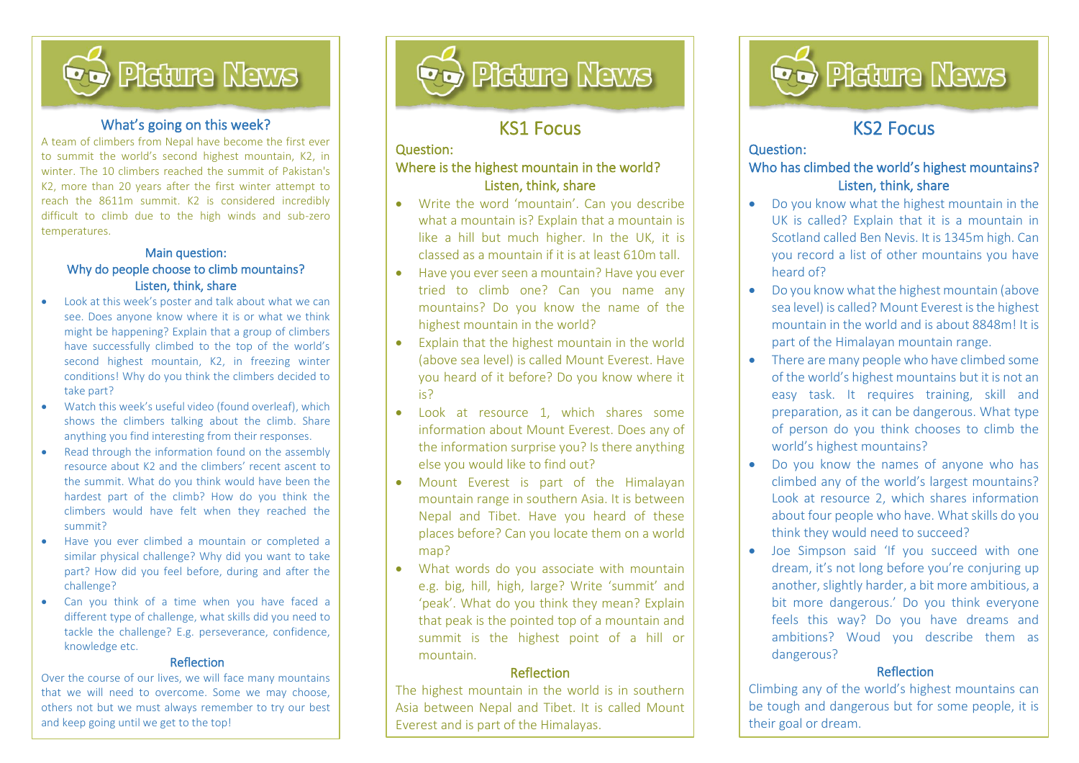

#### What's going on this week?

A team of climbers from Nepal have become the first ever to summit the world's second highest mountain, K2, in winter. The 10 climbers reached the summit of Pakistan's K2, more than 20 years after the first winter attempt to reach the 8611m summit. K2 is considered incredibly difficult to climb due to the high winds and sub-zero temperatures.

#### Main question: Why do people choose to climb mountains? Listen, think, share

- Look at this week's poster and talk about what we can see. Does anyone know where it is or what we think might be happening? Explain that a group of climbers have successfully climbed to the top of the world's second highest mountain, K2, in freezing winter conditions! Why do you think the climbers decided to take part?
- Watch this week's useful video (found overleaf), which shows the climbers talking about the climb. Share anything you find interesting from their responses.
- Read through the information found on the assembly resource about K2 and the climbers' recent ascent to the summit. What do you think would have been the hardest part of the climb? How do you think the climbers would have felt when they reached the summit?
- Have you ever climbed a mountain or completed a similar physical challenge? Why did you want to take part? How did you feel before, during and after the challenge?
- Can you think of a time when you have faced a different type of challenge, what skills did you need to tackle the challenge? E.g. perseverance, confidence, knowledge etc.

#### Reflection

Over the course of our lives, we will face many mountains that we will need to overcome. Some we may choose, others not but we must always remember to try our best and keep going until we get to the top!



# KS1 Focus

## Question:

İ,

#### Where is the highest mountain in the world? Listen, think, share

- Write the word 'mountain'. Can you describe what a mountain is? Explain that a mountain is like a hill but much higher. In the UK, it is classed as a mountain if it is at least 610m tall.
- Have you ever seen a mountain? Have you ever tried to climb one? Can you name any mountains? Do you know the name of the highest mountain in the world?
- Explain that the highest mountain in the world (above sea level) is called Mount Everest. Have you heard of it before? Do you know where it is?
- Look at resource 1, which shares some information about Mount Everest. Does any of the information surprise you? Is there anything else you would like to find out?
- Mount Everest is part of the Himalayan mountain range in southern Asia. It is between Nepal and Tibet. Have you heard of these places before? Can you locate them on a world map?
- What words do you associate with mountain e.g. big, hill, high, large? Write 'summit' and 'peak'. What do you think they mean? Explain that peak is the pointed top of a mountain and summit is the highest point of a hill or mountain.

#### Reflection

The highest mountain in the world is in southern Asia between Nepal and Tibet. It is called Mount Everest and is part of the Himalayas.



# KS2 Focus

l

#### Question:

l

### Who has climbed the world's highest mountains? Listen, think, share

- Do you know what the highest mountain in the UK is called? Explain that it is a mountain in Scotland called Ben Nevis. It is 1345m high. Can you record a list of other mountains you have heard of?
- Do you know what the highest mountain (above sea level) is called? Mount Everest is the highest mountain in the world and is about 8848m! It is part of the Himalayan mountain range.
- There are many people who have climbed some of the world's highest mountains but it is not an easy task. It requires training, skill and preparation, as it can be dangerous. What type of person do you think chooses to climb the world's highest mountains?
- Do you know the names of anyone who has climbed any of the world's largest mountains? Look at resource 2, which shares information about four people who have. What skills do you think they would need to succeed?
- Joe Simpson said 'If you succeed with one dream, it's not long before you're conjuring up another, slightly harder, a bit more ambitious, a bit more dangerous.' Do you think everyone feels this way? Do you have dreams and ambitions? Woud you describe them as dangerous?

#### **Reflection**

Climbing any of the world's highest mountains can be tough and dangerous but for some people, it is their goal or dream.